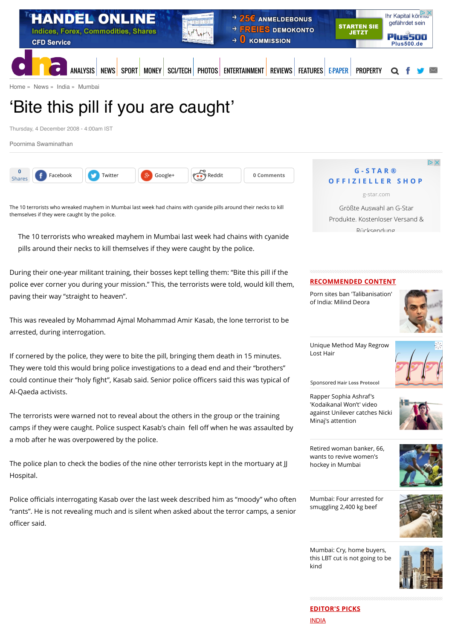

[Home](http://www.dnaindia.com/) » [News](http://www.dnaindia.com/news) » [India](http://www.dnaindia.com/india) » [Mumbai](http://www.dnaindia.com/mumbai)

# 'Bite this pill if you are caught'

Thursday, 4 December 2008 - 4:00am IST

[Poornima Swaminathan](http://www.dnaindia.com/authors/poornima-swaminathan-0)



The 10 terrorists who wreaked mayhem in Mumbai last week had chains with cyanide pills around their necks to kill themselves if they were caught by the police.

The 10 terrorists who wreaked mayhem in Mumbai last week had chains with cyanide pills around their necks to kill themselves if they were caught by the police.

During their one-year militant training, their bosses kept telling them: "Bite this pill if the police ever corner you during your mission." This, the terrorists were told, would kill them, paving their way "straight to heaven".

This was revealed by Mohammad Ajmal Mohammad Amir Kasab, the lone terrorist to be arrested, during interrogation.

If cornered by the police, they were to bite the pill, bringing them death in 15 minutes. They were told this would bring police investigations to a dead end and their "brothers" could continue their "holy fight", Kasab said. Senior police officers said this was typical of Al-Qaeda activists.

The terrorists were warned not to reveal about the others in the group or the training camps if they were caught. Police suspect Kasab's chain fell off when he was assaulted by a mob after he was overpowered by the police.

The police plan to check the bodies of the nine other terrorists kept in the mortuary at JJ Hospital.

Police officials interrogating Kasab over the last week described him as "moody" who often "rants". He is not revealing much and is silent when asked about the terror camps, a senior officer said.

## $\mathbb{D} \times$ **G-STAR® [OFFIZIELLER SHOP](http://www.googleadservices.com/pagead/aclk?sa=L&ai=CVlIrEdHAVdvaNNCnbN3EjMgLmaaG5waph73J8wHAjbcBEAEg3K6mI2CV8qyCtAegAbG039UDyAEBqQL5bu_plWqyPuACAKgDAcgDmwSqBL8BT9DJYt4T_NEvNfy3pbKdRyzBLFlFeWalrsIgXfM7edb1jJW8Ix0RiINqHvd2Ox1JRq7DlNXD3n0N0vu_MEh_RW06L08JaFgWn7PNmq4KfZ_0gIDO1pi5D46mOSvPibt-sLH6LK3j_vnc51yr-4judaeHWaDWMvf7q4h4woh1_Dy41crcRHW8xox1xLT5CeOQYhq4fItZ6UTqcgHXeuzG-wtCoZ6uANhMSiG0yAymwz9tjga4kbY_gWvyIX3bB1vgBAGIBgGAB8ml7xqoB6a-G9gHAQ&num=1&cid=5GjSlGUmqNLP4YObajlnvuUz&sig=AOD64_3mvobLEEPrhC6AiKD7JjmadMdBoA&client=ca-pub-4649483402144641&adurl=https://www.g-star.com/de_de/)**

[g-star.com](http://www.googleadservices.com/pagead/aclk?sa=L&ai=CVlIrEdHAVdvaNNCnbN3EjMgLmaaG5waph73J8wHAjbcBEAEg3K6mI2CV8qyCtAegAbG039UDyAEBqQL5bu_plWqyPuACAKgDAcgDmwSqBL8BT9DJYt4T_NEvNfy3pbKdRyzBLFlFeWalrsIgXfM7edb1jJW8Ix0RiINqHvd2Ox1JRq7DlNXD3n0N0vu_MEh_RW06L08JaFgWn7PNmq4KfZ_0gIDO1pi5D46mOSvPibt-sLH6LK3j_vnc51yr-4judaeHWaDWMvf7q4h4woh1_Dy41crcRHW8xox1xLT5CeOQYhq4fItZ6UTqcgHXeuzG-wtCoZ6uANhMSiG0yAymwz9tjga4kbY_gWvyIX3bB1vgBAGIBgGAB8ml7xqoB6a-G9gHAQ&num=1&cid=5GjSlGUmqNLP4YObajlnvuUz&sig=AOD64_3mvobLEEPrhC6AiKD7JjmadMdBoA&client=ca-pub-4649483402144641&adurl=https://www.g-star.com/de_de/)

Größte Auswahl an G-Star Produkte. Kostenloser Versand & Rücksendung.

## **RECOMMENDED CONTENT**

[Porn sites ban 'Talibanisation'](http://www.dnaindia.com/india/report-porn-sites-ban-talibanisation-of-india-milind-deora-2110734) of India: Milind Deora



[Unique Method May Regrow](https://beap.gemini.yahoo.com/mbclk?bv=1.0.0&es=nwL9eLMGIS8FSx_sjcLsJjzTUIrNnJHpmfsekwNI2n2AEGJQ69NDXOQMSmwonkOSZ50lkw4asziMQYDrO4qAEoqsnucq0wBqBZusq7nJaXBxKr3G3fCswMVgOb1XoBHIpJrAdhvW6s1tMwYKGXJcy5GJ2BwkzqQcTZAWFKb3HrGDUOnkFObeZaOs9hlRNxzDcdVPnNzRhtNhLkElkhsC9wN65RCvQTBTdGgeDGVvnH.WlDruh11Jq4NTthSx6EkN3AsDOnndfmGrhdc2xbC12uaoOjsff4ZuiwJu4jAXgeHcjqnAp5zFTxYTAksaHVtiHXcRUzF23NAuAoQz.ZkpSrSv2jCEHJtHgM8RsLIQvKVncw4mFZVUH0gGQT5vIzqnLSXUQUqK9f5pZQzBC2vYDHPFSvO5WO6JoSEDpJuUwW5gC4YtP0lh26HK2I6d1sLA5zp.T4.hcmntu_82qZ0XR0v12R5q3rUhbacX1nuMYKHHJQ.aLR0CZo6jyv6Jqjt15W24NEt0uAtK3bNH2s.T7S3KJMg-%26lp=) Lost Hair



Sponsored **Hair Loss Protocol**

Rapper Sophia Ashraf's 'Kodaikanal Won't' video [against Unilever catches Nicki](http://www.dnaindia.com/india/report-rapper-sophia-ashraf-s-kodaikanal-won-t-video-against-unilever-catches-nicki-minaj-s-attention-2110652) Minaj's attention



[Retired woman banker, 66,](http://www.dnaindia.com/mumbai/report-retired-woman-banker-66-wants-to-revive-women-s-hockey-in-mumbai-2110524) wants to revive women's hockey in Mumbai



[Mumbai: Four arrested for](http://www.dnaindia.com/mumbai/report-mumbai-four-arrested-for-smuggling-2400-kg-beef-2110530) smuggling 2,400 kg beef



Mumbai: Cry, home buyers, [this LBT cut is not going to be](http://www.dnaindia.com/mumbai/report-mumbai-cry-home-buyers-this-lbt-cut-is-not-going-to-be-kind-2110471) kind



**EDITOR'S PICKS** [INDIA](http://www.dnaindia.com/india)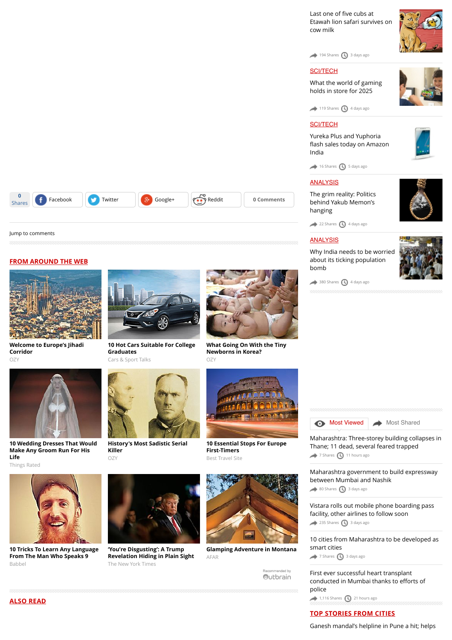Last one of five cubs at [Etawah lion safari survives on](http://www.dnaindia.com/india/report-last-one-of-five-cubs-at-etawah-lion-safari-survives-on-cow-milk-2109981) cow milk

[194 Shares](http://www.dnaindia.com/mumbai/report-bite-this-pill-if-you-are-caught-1211305#) [3 days ago](http://www.dnaindia.com/mumbai/report-bite-this-pill-if-you-are-caught-1211305#)

## **[SCI/TECH](http://www.dnaindia.com/scitech)**

[What the world of gaming](http://www.dnaindia.com/scitech/report-immersion-is-the-name-of-the-game-2109432) holds in store for 2025



 $\rightarrow$  [119 Shares](http://www.dnaindia.com/mumbai/report-bite-this-pill-if-you-are-caught-1211305#)  $\bigoplus$  [4 days ago](http://www.dnaindia.com/mumbai/report-bite-this-pill-if-you-are-caught-1211305#)

## [SCI/TECH](http://www.dnaindia.com/scitech)

Yureka Plus and Yuphoria fl[ash sales today on Amazon](http://www.dnaindia.com/scitech/report-yureka-plus-and-yuphoria-flash-sales-today-on-amazon-india-2109499) India

 $\bigcirc$  [16 Shares](http://www.dnaindia.com/mumbai/report-bite-this-pill-if-you-are-caught-1211305#)  $\bigcirc$  [5 days ago](http://www.dnaindia.com/mumbai/report-bite-this-pill-if-you-are-caught-1211305#)

## [ANALYSIS](http://www.dnaindia.com/analysis)

[The grim reality: Politics](http://www.dnaindia.com/analysis/editorial-the-grim-reality-politics-behind-yakub-memon-s-hanging-2109659) behind Yakub Memon's hanging



 $22$  Shares  $\bigcirc$  [4 days ago](http://www.dnaindia.com/mumbai/report-bite-this-pill-if-you-are-caught-1211305#)

## **[ANALYSIS](http://www.dnaindia.com/analysis)**

[Why India needs to be worried](http://www.dnaindia.com/analysis/editorial-dnaedit-population-bomb-2109662) about its ticking population bomb



 $\rightarrow$  [380 Shares](http://www.dnaindia.com/mumbai/report-bite-this-pill-if-you-are-caught-1211305#)  $\bigcirc$  [4 days ago](http://www.dnaindia.com/mumbai/report-bite-this-pill-if-you-are-caught-1211305#)





**[Welcome to Europe's Jihadi](http://www.ozy.com/fast-forward/welcome-to-europes-jihadi-corridor/60342?utm_source=Outbrain&utm_medium=CPC&utm_campaign=INTL%20-%20All%20Clicks%20ALL%20Devices)**



Things Rated

**0**

[Jump to comments](http://www.dnaindia.com/mumbai/report-bite-this-pill-if-you-are-caught-1211305#comments)

**FROM AROUND THE WEB**



**[10 Tricks To Learn Any Language](http://www.babbel.com/en/magazine/10-tips-from-an-expert?slc=engmag-a1-vid-bv1-tipsandtricks-ob&utm_source=outbrain&utm_medium=cpc&utm_campaign=cd_engall_gen_cde_bv1_polyglot) From The Man Who Speaks 9** Babbel



Shares **f** [Facebook](https://www.facebook.com/sharer/sharer.php?u=http%3A%2F%2Fwww.dnaindia.com%2Fmumbai%2Freport-bite-this-pill-if-you-are-caught-1211305) [Twitter](https://twitter.com/share?url=http%3A%2F%2Fdnai.in%2F8e6A&lang=en&text=%E2%80%98Bite+this+pill+if+you+are+caught%E2%80%99&via=dna%20%20@) **[Google+](https://plus.google.com/share?url=http%3A%2F%2Fwww.dnaindia.com%2Fmumbai%2Freport-bite-this-pill-if-you-are-caught-1211305&hl=en) Comments** 

**[10 Hot Cars Suitable For College](http://fryerschat.com/10-hot-cars-suitable-for-college-graduates/) Graduates** Cars & Sport Talks



**[History's Most Sadistic Serial](http://www.ozy.com/flashback/historys-most-sadistic-serial-killer/40585?utm_source=Outbrain&utm_medium=CPC&utm_campaign=INTL%20-%20All%20Clicks%20ALL%20Devices) Killer** OZY



**'You're Disgusting': A Trump [Revelation Hiding in Plain Sight](http://www.nytimes.com/times-insider/2015/07/29/youre-disgusting-a-trump-revelation-hiding-in-plain-sight/?WT.mc_id=2015-AUGUST-OTB-INTL_AUD_DEV-0801-0831&WT.mc_ev=click&ad-keywords=IntlAudDev)** The New York Times



**[Glamping Adventure in Montana](http://www.afar.com/places/the-resort-at-paws-up-missoula-county?utm_source=outbrain&utm_medium=paid&utm_campaign=ac_pawsup_pp)** AFAR

Recommended by Outbrain **[Most Viewed](http://www.dnaindia.com/mumbai/report-bite-this-pill-if-you-are-caught-1211305#mostviewed)** [Most Shared](http://www.dnaindia.com/mumbai/report-bite-this-pill-if-you-are-caught-1211305#mostshared)

[Maharashtra: Three-storey building collapses in](http://www.dnaindia.com/mumbai/report-maharashtra-three-storey-building-collapses-in-thane-11-dead-several-feared-trapped-2110890) Thane; 11 dead, several feared trapped

[7 Shares](http://www.dnaindia.com/mumbai/report-bite-this-pill-if-you-are-caught-1211305#) [11 hours ago](http://www.dnaindia.com/mumbai/report-bite-this-pill-if-you-are-caught-1211305#)

[Maharashtra government to build expressway](http://www.dnaindia.com/mumbai/report-maharashtra-government-to-build-expressway-between-mumbai-and-nashik-2109935) between Mumbai and Nashik [80 Shares](http://www.dnaindia.com/mumbai/report-bite-this-pill-if-you-are-caught-1211305#) [3 days ago](http://www.dnaindia.com/mumbai/report-bite-this-pill-if-you-are-caught-1211305#)

[Vistara rolls out mobile phone boarding pass](http://www.dnaindia.com/mumbai/report-vistara-rolls-out-mobile-phone-boarding-pass-facility-other-airlines-to-follow-soon-2109930) facility, other airlines to follow soon  $235$  Shares  $\bigcirc$  [3 days ago](http://www.dnaindia.com/mumbai/report-bite-this-pill-if-you-are-caught-1211305#)

[10 cities from Maharashtra to be developed as](http://www.dnaindia.com/mumbai/report-10-cities-from-maharashtra-to-be-developed-as-smart-cities-2109979) smart cities [7 Shares](http://www.dnaindia.com/mumbai/report-bite-this-pill-if-you-are-caught-1211305#) [3 days ago](http://www.dnaindia.com/mumbai/report-bite-this-pill-if-you-are-caught-1211305#)

[First ever successful heart transplant](http://www.dnaindia.com/mumbai/report-first-ever-successful-heart-transplant-conducted-in-mumbai-thanks-to-efforts-of-police-2110832) conducted in Mumbai thanks to efforts of police

 $1,116$  Shares  $\bigodot$  [21 hours ago](http://www.dnaindia.com/mumbai/report-bite-this-pill-if-you-are-caught-1211305#)

# **TOP STORIES FROM CITIES**

[Ganesh mandal's helpline in Pune a hit; helps](http://www.dnaindia.com/pune/report-ganesh-mandal-s-helpline-in-pune-a-hit-helps-residents-with-everyday-services-2111012)



**[What Going On With the Tiny](http://www.ozy.com/acumen/whats-wrong-with-all-those-little-newborns/40384?utm_source=Outbrain&utm_medium=CPC&utm_campaign=INTL%20-%20All%20Clicks%20ALL%20Devices) Newborns in Korea?** OZY



**[10 Essential Stops For Europe](http://travel-gist.com/10-essential-stops-for-europe-first-timers/) First-Timers** Best Travel Site

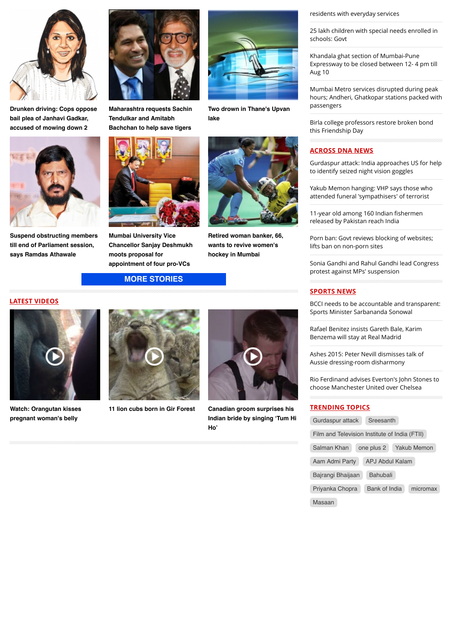

**[Drunken driving: Cops oppose](http://www.dnaindia.com/mumbai/report-drunken-driving-cops-oppose-bail-plea-of-janhavi-gadkar-accused-of-mowing-down-2-2110873) bail plea of Janhavi Gadkar, accused of mowing down 2**



**[Suspend obstructing members](http://www.dnaindia.com/mumbai/report-suspend-obstructing-members-till-end-of-parliament-session-says-ramdas-athawale-2110708) till end of Parliament session, says Ramdas Athawale**



**[Maharashtra requests Sachin](http://www.dnaindia.com/mumbai/report-maharashtra-requests-sachin-tendulkar-and-amitabh-bachchan-to-help-save-tigers-2110838) Tendulkar and Amitabh Bachchan to help save tigers**



**Mumbai University Vice [Chancellor Sanjay Deshmukh](http://www.dnaindia.com/mumbai/report-mumbai-university-vice-chancellor-sanjay-deshmukh-moots-proposal-for-appointment-of-four-pro-vcs-2110578) moots proposal for appointment of four pro-VCs**

**[MORE STORIES](http://www.dnaindia.com/mumbai)**





**[Watch: Orangutan kisses](http://www.dnaindia.com/world/video-watch-orangutan-kisses-pregnant-woman-s-belly-2109068) pregnant woman's belly**





**[Two drown in Thane's Upvan](http://www.dnaindia.com/mumbai/report-two-drown-in-thane-s-upvan-lake-2110740)**

**[Retired woman banker, 66,](http://www.dnaindia.com/mumbai/report-retired-woman-banker-66-wants-to-revive-women-s-hockey-in-mumbai-2110524) wants to revive women's hockey in Mumbai**

**lake**

**[11 lion cubs born in Gir Forest](http://www.dnaindia.com/india/video-11-lion-cubs-born-in-gir-forest-2105493) Canadian groom surprises his [Indian bride by singing 'Tum Hi](http://www.dnaindia.com/world/video-canadian-groom-surprises-his-indian-bride-by-singing-tum-hi-ho-2104831) Ho'**

[residents with everyday services](http://www.dnaindia.com/pune/report-ganesh-mandal-s-helpline-in-pune-a-hit-helps-residents-with-everyday-services-2111012)

[25 lakh children with special needs enrolled in](http://www.dnaindia.com/delhi/report-25-lakh-children-with-special-needs-enrolled-in-schools-govt-2110985) schools: Govt

Khandala ghat section of Mumbai-Pune [Expressway to be closed between 12- 4 pm till](http://www.dnaindia.com/mumbai/report-khandala-ghat-section-of-mumbai-pune-expressway-to-be-closed-from-12-4-pm-till-aug-10-2110914) Aug 10

Mumbai Metro services disrupted during peak [hours; Andheri, Ghatkopar stations packed with](http://www.dnaindia.com/mumbai/report-mumbai-metro-services-disrupted-during-peak-hours-andheri-ghatkopar-stations-packed-with-passengers-2110918) passengers

[Birla college professors restore broken bond](http://www.dnaindia.com/mumbai/report-birla-college-professors-restore-broken-bond-this-friendship-day-2110887) this Friendship Day

# **ACROSS DNA NEWS**

[Gurdaspur attack: India approaches US for help](http://www.dnaindia.com/india/report-gurdaspur-attack-india-approaches-us-for-help-to-identify-seized-night-vision-goggles-2111093) to identify seized night vision goggles

[Yakub Memon hanging: VHP says those who](http://www.dnaindia.com/india/report-yakub-memon-hanging-vhp-says-those-who-attended-funeral-sympathisers-of-terrorist-2111077) attended funeral 'sympathisers' of terrorist

11-year old among 160 Indian fishermen [released by Pakistan reach India](http://www.dnaindia.com/india/report-11-year-old-among-160-indian-fishermen-released-by-pakistan-reach-india-2111069)

[Porn ban: Govt reviews blocking of websites;](http://www.dnaindia.com/india/report-govt-reviews-blocking-of-websites-lifts-ban-on-non-porn-sites-2111065) lifts ban on non-porn sites

[Sonia Gandhi and Rahul Gandhi lead Congress](http://www.dnaindia.com/india/report-sonia-gandhi-and-rahul-gandhi-lead-congress-protest-against-mps-suspension-2111039) protest against MPs' suspension

## **SPORTS NEWS**

[BCCI needs to be accountable and transparent:](http://www.dnaindia.com/sport/report-bcci-needs-to-be-accountable-and-transparent-sports-minister-sarbananda-sonowal-2111038) Sports Minister Sarbananda Sonowal

[Rafael Benitez insists Gareth Bale, Karim](http://www.dnaindia.com/sport/report-rafael-benitez-insists-gareth-bale-karim-benzema-will-stay-at-real-madrid-2110989) Benzema will stay at Real Madrid

[Ashes 2015: Peter Nevill dismisses talk of](http://www.dnaindia.com/sport/report-ashes-2015-peter-nevill-dismisses-talk-of-aussie-dressing-room-disharmony-2110984) Aussie dressing-room disharmony

[Rio Ferdinand advises Everton's John Stones to](http://www.dnaindia.com/sport/report-rio-ferdinand-advises-everton-s-john-stones-to-choose-manchester-united-over-chelsea-2110968) choose Manchester United over Chelsea

## **TRENDING TOPICS**

| Gurdaspur attack                              | Sreesanth       |  |             |
|-----------------------------------------------|-----------------|--|-------------|
| Film and Television Institute of India (FTII) |                 |  |             |
| Salman Khan                                   | one plus 2      |  | Yakub Memon |
| Aam Admi Party                                | APJ Abdul Kalam |  |             |
| Bajrangi Bhaijaan                             | <b>Bahubali</b> |  |             |
| Priyanka Chopra                               | Bank of India   |  | micromax    |
| Masaan                                        |                 |  |             |